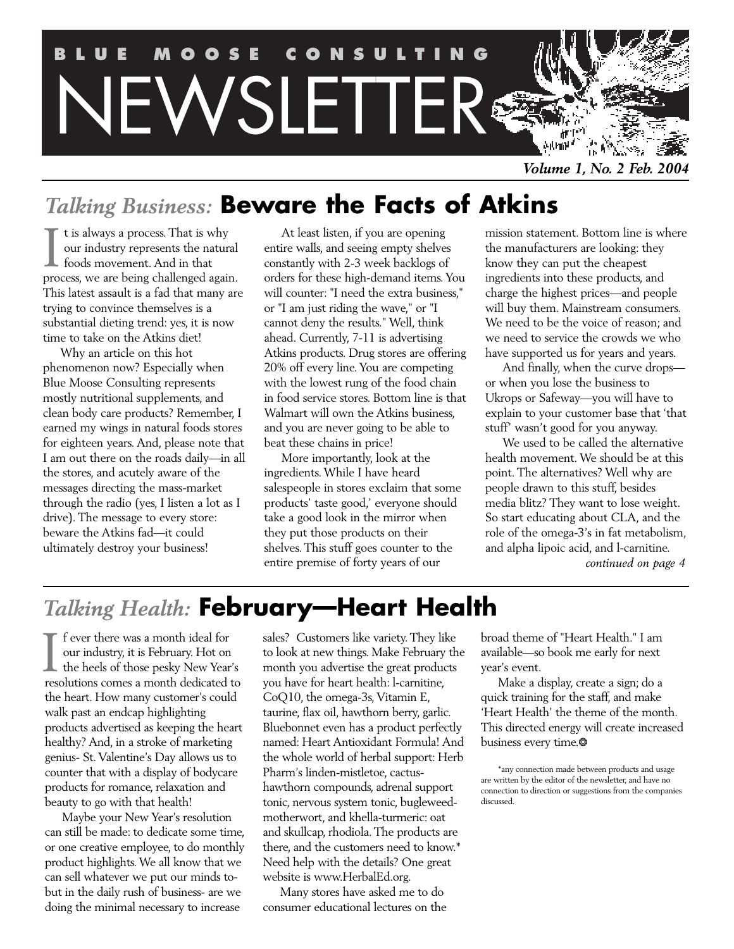

*Volume 1, No. 2 Feb. 2004*

# *Talking Business:* **Beware the Facts of Atkins**

t is always a process. That is why our industry represents the natural foods movement. And in that I t is always a process. That is why<br>our industry represents the natural<br>foods movement. And in that<br>process, we are being challenged again. This latest assault is a fad that many are trying to convince themselves is a substantial dieting trend: yes, it is now time to take on the Atkins diet!

Why an article on this hot phenomenon now? Especially when Blue Moose Consulting represents mostly nutritional supplements, and clean body care products? Remember, I earned my wings in natural foods stores for eighteen years. And, please note that I am out there on the roads daily—in all the stores, and acutely aware of the messages directing the mass-market through the radio (yes, I listen a lot as I drive). The message to every store: beware the Atkins fad—it could ultimately destroy your business!

At least listen, if you are opening entire walls, and seeing empty shelves constantly with 2-3 week backlogs of orders for these high-demand items. You will counter: "I need the extra business," or "I am just riding the wave," or "I cannot deny the results." Well, think ahead. Currently, 7-11 is advertising Atkins products. Drug stores are offering 20% off every line. You are competing with the lowest rung of the food chain in food service stores. Bottom line is that Walmart will own the Atkins business, and you are never going to be able to beat these chains in price!

More importantly, look at the ingredients. While I have heard salespeople in stores exclaim that some products' taste good,' everyone should take a good look in the mirror when they put those products on their shelves. This stuff goes counter to the entire premise of forty years of our

mission statement. Bottom line is where the manufacturers are looking: they know they can put the cheapest ingredients into these products, and charge the highest prices—and people will buy them. Mainstream consumers. We need to be the voice of reason; and we need to service the crowds we who have supported us for years and years.

And finally, when the curve drops or when you lose the business to Ukrops or Safeway—you will have to explain to your customer base that 'that stuff' wasn't good for you anyway.

We used to be called the alternative health movement. We should be at this point. The alternatives? Well why are people drawn to this stuff, besides media blitz? They want to lose weight. So start educating about CLA, and the role of the omega-3's in fat metabolism, and alpha lipoic acid, and l-carnitine. *continued on page 4*

# *Talking Health:* **February—Heart Health**

I f ever there was a month ideal for<br>
our industry, it is February. Hot on<br>
the heels of those pesky New Year<br>
recolutions comes a month dedicated our industry, it is February. Hot on the heels of those pesky New Year's resolutions comes a month dedicated to the heart. How many customer's could walk past an endcap highlighting products advertised as keeping the heart healthy? And, in a stroke of marketing genius- St. Valentine's Day allows us to counter that with a display of bodycare products for romance, relaxation and beauty to go with that health!

Maybe your New Year's resolution can still be made: to dedicate some time, or one creative employee, to do monthly product highlights. We all know that we can sell whatever we put our minds tobut in the daily rush of business- are we doing the minimal necessary to increase

sales? Customers like variety. They like to look at new things. Make February the month you advertise the great products you have for heart health: l-carnitine, CoQ10, the omega-3s, Vitamin E, taurine, flax oil, hawthorn berry, garlic. Bluebonnet even has a product perfectly named: Heart Antioxidant Formula! And the whole world of herbal support: Herb Pharm's linden-mistletoe, cactushawthorn compounds, adrenal support tonic, nervous system tonic, bugleweedmotherwort, and khella-turmeric: oat and skullcap, rhodiola. The products are there, and the customers need to know.\* Need help with the details? One great website is www.HerbalEd.org.

Many stores have asked me to do consumer educational lectures on the

broad theme of "Heart Health." I am available—so book me early for next year's event.

Make a display, create a sign; do a quick training for the staff, and make 'Heart Health' the theme of the month. This directed energy will create increased business every time.❂

<sup>\*</sup>any connection made between products and usage are written by the editor of the newsletter, and have no connection to direction or suggestions from the companies discussed.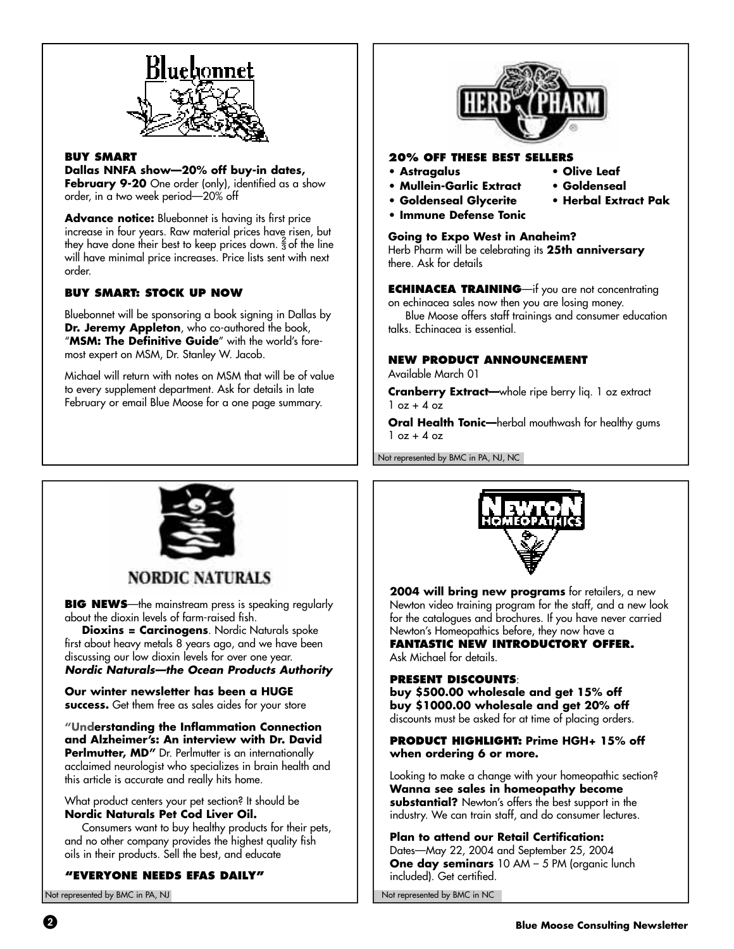

#### **BUY SMART**

**Dallas NNFA show—20% off buy-in dates,**

**February 9-20** One order (only), identified as a show order, in a two week period—20% off

Advance notice: Bluebonnet is having its first price increase in four years. Raw material prices have risen, but they have done their best to keep prices down.  $\frac{2}{3}$  of the line will have minimal price increases. Price lists sent with next order.

#### **BUY SMART: STOCK UP NOW**

Bluebonnet will be sponsoring a book signing in Dallas by **Dr. Jeremy Appleton**, who co-authored the book, "**MSM: The Definitive Guide**" with the world's foremost expert on MSM, Dr. Stanley W. Jacob.

Michael will return with notes on MSM that will be of value to every supplement department. Ask for details in late February or email Blue Moose for a one page summary.



#### **20% OFF THESE BEST SELLERS**

- **Astragalus Olive Leaf**
- **Mullein-Garlic Extract Goldenseal**
- **Goldenseal Glycerite Herbal Extract Pak**
- **Immune Defense Tonic**

#### **Going to Expo West in Anaheim?**

Herb Pharm will be celebrating its **25th anniversary** there. Ask for details

**ECHINACEA TRAINING**—if you are not concentrating on echinacea sales now then you are losing money.

Blue Moose offers staff trainings and consumer education talks. Echinacea is essential.

#### **NEW PRODUCT ANNOUNCEMENT**

Available March 01

**Cranberry Extract—**whole ripe berry liq. 1 oz extract  $1$  oz  $+$  4 oz

**Oral Health Tonic—**herbal mouthwash for healthy gums  $1 oz + 4 oz$ 

Not represented by BMC in PA, NJ, NC



## **NORDIC NATURALS**

**BIG NEWS**—the mainstream press is speaking regularly about the dioxin levels of farm-raised fish.

**Dioxins = Carcinogens**. Nordic Naturals spoke first about heavy metals 8 years ago, and we have been discussing our low dioxin levels for over one year. **Nordic Naturals—the Ocean Products Authority**

**Our winter newsletter has been a HUGE success.** Get them free as sales aides for your store

**"Understanding the Inflammation Connection and Alzheimer's: An interview with Dr. David Perlmutter, MD"** Dr. Perlmutter is an internationally acclaimed neurologist who specializes in brain health and this article is accurate and really hits home.

What product centers your pet section? It should be **Nordic Naturals Pet Cod Liver Oil.**

Consumers want to buy healthy products for their pets, and no other company provides the highest quality fish oils in their products. Sell the best, and educate

#### **"EVERYONE NEEDS EFAS DAILY"**

Not represented by BMC in PA, NJ



**2004 will bring new programs** for retailers, a new Newton video training program for the staff, and a new look for the catalogues and brochures. If you have never carried Newton's Homeopathics before, they now have a

**FANTASTIC NEW INTRODUCTORY OFFER.** Ask Michael for details.

#### **PRESENT DISCOUNTS**:

**buy \$500.00 wholesale and get 15% off buy \$1000.00 wholesale and get 20% off** discounts must be asked for at time of placing orders.

**PRODUCT HIGHLIGHT: Prime HGH+ 15% off when ordering 6 or more.**

Looking to make a change with your homeopathic section? **Wanna see sales in homeopathy become substantial?** Newton's offers the best support in the industry. We can train staff, and do consumer lectures.

**Plan to attend our Retail Certification:** Dates—May 22, 2004 and September 25, 2004 **One day seminars** 10 AM - 5 PM (organic lunch included). Get certified.

Not represented by BMC in NC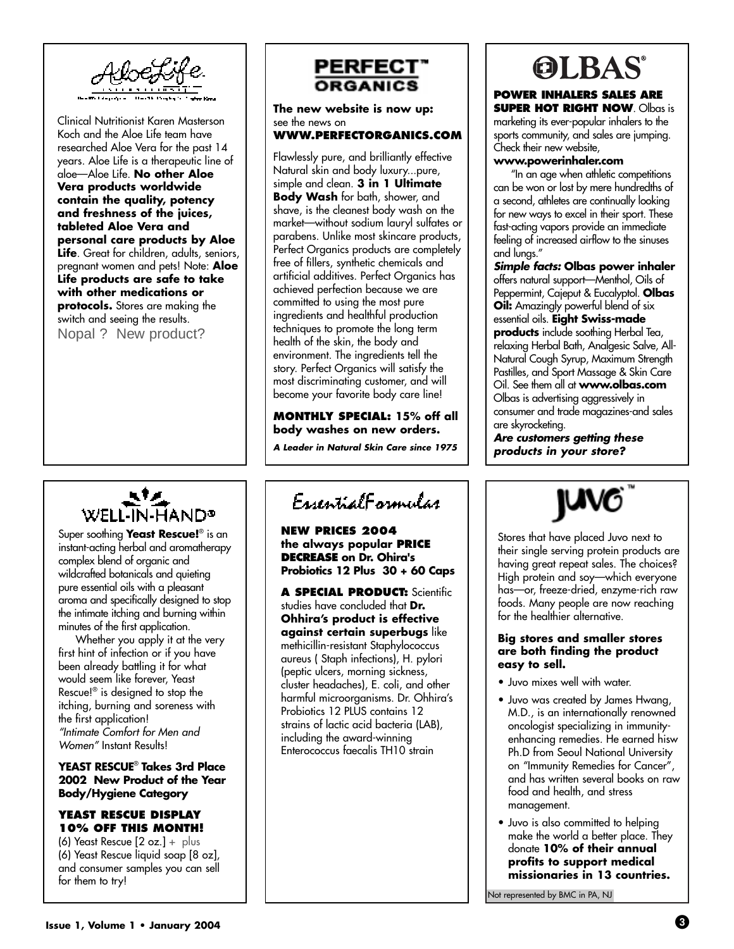

Clinical Nutritionist Karen Masterson Koch and the Aloe Life team have researched Aloe Vera for the past 14 years. Aloe Life is a therapeutic line of aloe—Aloe Life. **No other Aloe Vera products worldwide contain the quality, potency and freshness of the juices, tableted Aloe Vera and personal care products by Aloe Life**. Great for children, adults, seniors, pregnant women and pets! Note: **Aloe Life products are safe to take with other medications or protocols.** Stores are making the switch and seeing the results. Nopal ? New product?

# WELL-IN-HAND®

Super soothing **Yeast Rescue!**® is an instant-acting herbal and aromatherapy complex blend of organic and wildcrafted botanicals and quieting pure essential oils with a pleasant aroma and specifically designed to stop the intimate itching and burning within minutes of the first application.

Whether you apply it at the very first hint of infection or if you have been already battling it for what would seem like forever, Yeast Rescue!® is designed to stop the itching, burning and soreness with the first application! "Intimate Comfort for Men and Women" Instant Results!

#### **YEAST RESCUE**® **Takes 3rd Place 2002 New Product of the Year Body/Hygiene Category**

#### **YEAST RESCUE DISPLAY 10% OFF THIS MONTH!**

(6) Yeast Rescue [2 oz.] + plus (6) Yeast Rescue liquid soap [8 oz], and consumer samples you can sell for them to try!



**The new website is now up:** see the news on

#### **WWW.PERFECTORGANICS.COM**

Flawlessly pure, and brilliantly effective Natural skin and body luxury...pure, simple and clean. **3 in 1 Ultimate Body Wash** for bath, shower, and shave, is the cleanest body wash on the market—without sodium lauryl sulfates or parabens. Unlike most skincare products, Perfect Organics products are completely free of fillers, synthetic chemicals and artificial additives. Perfect Organics has achieved perfection because we are committed to using the most pure ingredients and healthful production techniques to promote the long term health of the skin, the body and environment. The ingredients tell the story. Perfect Organics will satisfy the most discriminating customer, and will become your favorite body care line!

**MONTHLY SPECIAL: 15% off all body washes on new orders.**

**A Leader in Natural Skin Care since 1975**

EssentialFormular

**NEW PRICES 2004 the always popular PRICE DECREASE on Dr. Ohira's Probiotics 12 Plus 30 + 60 Caps**

**A SPECIAL PRODUCT:** Scientific studies have concluded that **Dr. Ohhira's product is effective against certain superbugs** like methicillin-resistant Staphylococcus aureus ( Staph infections), H. pylori (peptic ulcers, morning sickness, cluster headaches), E. coli, and other harmful microorganisms. Dr. Ohhira's Probiotics 12 PLUS contains 12 strains of lactic acid bacteria (LAB), including the award-winning Enterococcus faecalis TH10 strain

# **OLBAS**

#### **POWER INHALERS SALES ARE SUPER HOT RIGHT NOW. Olbas is**

marketing its ever-popular inhalers to the sports community, and sales are jumping. Check their new website,

#### **www.powerinhaler.com**

"In an age when athletic competitions can be won or lost by mere hundredths of a second, athletes are continually looking for new ways to excel in their sport. These fast-acting vapors provide an immediate feeling of increased airflow to the sinuses and lungs."

**Simple facts: Olbas power inhaler** offers natural support—Menthol, Oils of Peppermint, Cajeput & Eucalyptol. **Olbas Oil:** Amazingly powerful blend of six essential oils. **Eight Swiss-made products** include soothing Herbal Tea, relaxing Herbal Bath, Analgesic Salve, All-Natural Cough Syrup, Maximum Strength Pastilles, and Sport Massage & Skin Care Oil. See them all at **www.olbas.com** Olbas is advertising aggressively in consumer and trade magazines-and sales are skyrocketing.

**Are customers getting these products in your store?**



Stores that have placed Juvo next to their single serving protein products are having great repeat sales. The choices? High protein and soy—which everyone has—or, freeze-dried, enzyme-rich raw foods. Many people are now reaching for the healthier alternative.

#### **Big stores and smaller stores are both finding the product easy to sell.**

- Juvo mixes well with water.
- Juvo was created by James Hwang, M.D., is an internationally renowned oncologist specializing in immunityenhancing remedies. He earned hisw Ph.D from Seoul National University on "Immunity Remedies for Cancer", and has written several books on raw food and health, and stress management.
- Juvo is also committed to helping make the world a better place. They donate **10% of their annual profits to support medical missionaries in 13 countries.**

Not represented by BMC in PA, NJ